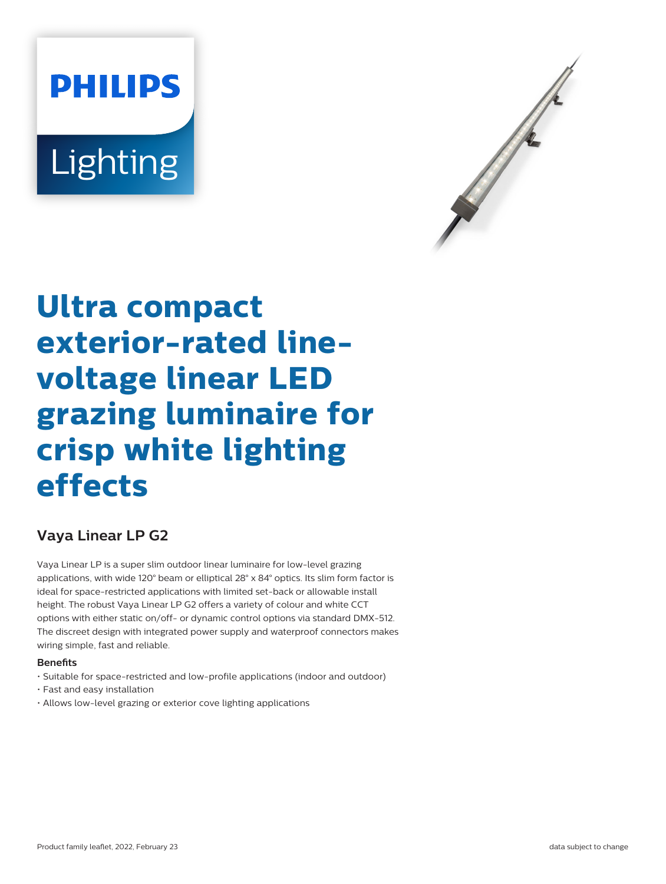# **PHILIPS** Lighting



# **Ultra compact exterior-rated linevoltage linear LED grazing luminaire for crisp white lighting effects**

# **Vaya Linear LP G2**

Vaya Linear LP is a super slim outdoor linear luminaire for low-level grazing applications, with wide 120° beam or elliptical 28° x 84° optics. Its slim form factor is ideal for space-restricted applications with limited set-back or allowable install height. The robust Vaya Linear LP G2 offers a variety of colour and white CCT options with either static on/off- or dynamic control options via standard DMX-512. The discreet design with integrated power supply and waterproof connectors makes wiring simple, fast and reliable.

## **Benets**

- Suitable for space-restricted and low-profile applications (indoor and outdoor)
- Fast and easy installation
- Allows low-level grazing or exterior cove lighting applications